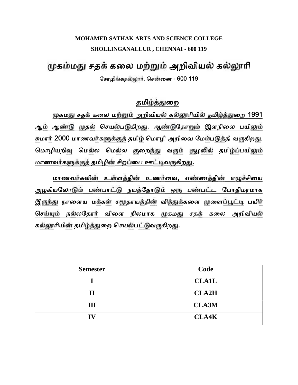## **MOHAMED SATHAK ARTS AND SCIENCE COLLEGE SHOLLINGANALLUR , CHENNAI - 600 119**

# **க ம சத கைல ம அறிவிய க ாி**

**ேசாழி கந , ெச ைன - 600 119**

## **தமி ைற**

**கம சத கைல ம அறிவிய க ாியி தமி ைற 1991 ஆ ஆ த ெசய ப கிற . ஆ ேதா இளநிைல பயி மா 2000 மாணவ க தமி ெமாழி அறிைவ ேம ப தி வ கிற . ெமாழியறி ெம ல ெம ல ைற வ ழ தமி பயி மாணவ க தமிழி சிற ைப ஊ வ கிற .**

**மாணவ களி உ ள தி உண ைவ, எண திஎ சிைய அழகியேலா ப பா நய ேதா ஒ ப ப ட ேபாதிமரமாக இ நாைளய ம க ச தாய தி வி கைள ைள பயி ெச ந லேதா விைள நிலமாக கம சத கைல அறிவிய க ாியி தமி ைற ெசய ப வ கிற .**

| <b>Semester</b> | Code         |
|-----------------|--------------|
|                 | <b>CLA1L</b> |
| $\bf{II}$       | <b>CLA2H</b> |
| Ш               | <b>CLA3M</b> |
| IV              | <b>CLA4K</b> |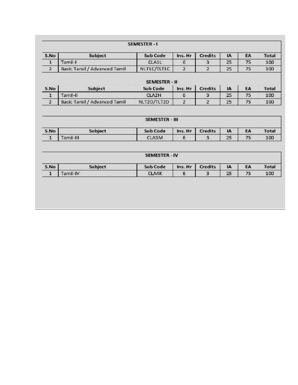#### SEMESTER-1

| S.No | Subject                      | Sub Code           | Ins.Hr | <b>Credits</b> | IA | Total |
|------|------------------------------|--------------------|--------|----------------|----|-------|
|      | lamil-l                      | CLA <sub>1</sub> L | G      |                | 25 | 100   |
|      | Basic Tamil / Advanced Tamil | NLT1C/TLT1C        |        |                | 25 | 100   |

| <b>SEMESTER - II</b> |                              |             |         |                |    |       |
|----------------------|------------------------------|-------------|---------|----------------|----|-------|
| S.No                 | Subject                      | Sub Code    | Ins. Hr | <b>Credits</b> | IA | Total |
|                      | Tamil-II                     | CLA2H       |         |                | 25 | 100   |
|                      | Basic Tamil / Advanced Tamil | NLT2D/TLT2D |         |                | 25 | 100   |

| <b>SEMESTER - III</b> |           |          |         |                |    |    |              |
|-----------------------|-----------|----------|---------|----------------|----|----|--------------|
| S.No                  | Subject   | Sub Code | Ins. Hr | <b>Credits</b> | IA | EA | <b>Total</b> |
|                       | Tamil-III | CLA3M    | o       | <b>INCLU</b>   | 25 | 75 | 100          |

| SEMESTER-IV |         |          |         |                |    |    |       |
|-------------|---------|----------|---------|----------------|----|----|-------|
| 5.No        | Subject | Sub Code | Ins. Hr | <b>Credits</b> | IA | EA | Total |
|             | amil-IV | CLA4K    |         |                | 25 | 75 | 100   |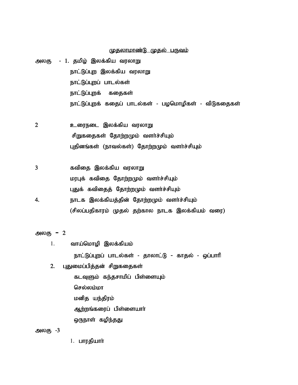#### <u>(மதலாமாண்டு முதல் பருவம்</u>

- அலகு 1. தமிழ் இலக்கிய வரலாறு நாட்டுப்புற இலக்கிய வரலாறு நாட்டுப்புறப் பாடல்கள் நாட்டுப்புறக் கதைகள் நாட்டுப்புறக் கதைப் பாடல்கள் - பழமொழிகள் - விடுகதைகள்
- 2 **உரைநடை இலக்கிய வரலாறு** சிறுகதைகள் தோற்றமும் வளர்ச்சியும் புதினங்கள் (நாவல்கள்) தோற்றமும் வளர்ச்சியும்
- **3 ftpij ,yf;fpa tuyhW** மரபுக் கவிதை தோற்றமும் வளர்ச்சியும் புதுக் கவிதைத் தோற்றமும் வளர்ச்சியும் **4. ehlf ,yf;fpaj;jpd; Njhw;wKk; tsh;r;rpAk;**
	- (சிலப்பதிகாரம் முதல் தற்கால நாடக இலக்கியம் வரை)

**myF – 2**

- 1. **வாய்மொழி இலக்கியம் ehl;Lg;Gwg; ghly;fs; - jhyhl;L - fhjy; - xg;ghhp**
- 2. புதுமைப்பித்தன் சிறுகதைகள் கடவுளும் கந்தசாமிப் பிள்ளையும் **செல்லம்மா** மனித யந்திரம் ஆற்றங்கரைப் பிள்ளையார் ஒருநாள் கழிந்தது

**myF -3**

1. **பாரதியாா்**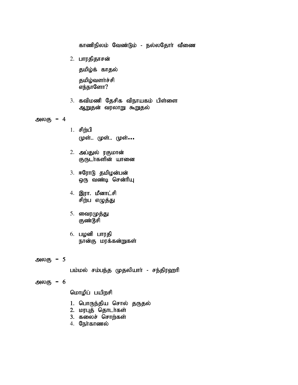காணிநிலம் வேண்டும் - நல்லதோர் வீணை

2. பாரதிதாசன்

தமிழ்க் காதல்

தமிழ்வளர்ச்சி எந்நாளோ?

3. கவிமணி தேசிக விநாயகம் பிள்ளை ஆறுதன் வரலாறு கூறுதல்

அலகு  $-4$ 

- 1. சிற்பி முள்.. முள்.. முள்...
- 2. அப்துல் ரகுமான் குருடா்களின் யானை
- 3. ஈரோடு தமிழன்பன் ஒரு வண்டி சென்ரியு
- 4. இரா. மீனாட்சி சிற்ப எழுத்து
- 5. வைரமுத்து குண்டூசி
- 6. பழனி பாரதி நான்கு மரக்கன்றுகள்
- அலகு  $-5$

பம்மல் சம்பந்த முதலியாா் - சந்திரஹாி

அலகு  $-6$ 

மொழிப் பயிறசி

- 1. பொருந்திய சொல் தருதல்
- 2. மரபுத் தொடர்கள்
- 3. கலைச் சொற்கள்
- 4. நேர்காணல்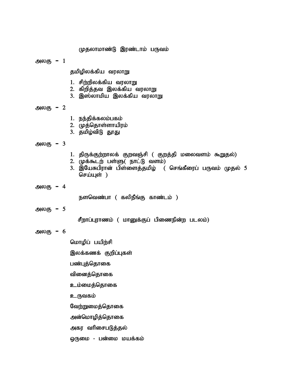முதலாமாண்டு இரண்டாம் பருவம்

 $\bigoplus$   $\emptyset$   $\emptyset$   $\bigoplus$   $\bigoplus$   $\bigoplus$   $\bigoplus$ 

தமிழிலக்கிய வரலாறு

- 1. சிற்றிலக்கிய வரலாறு
- 2. கிறித்தவ இலக்கிய வரலாறு
- 3. இஸ்லாமிய இலக்கிய வரலாறு
- **myF – 2**
- 1. நந்திக்கலம்பகம்
- 2. **முத்தொள்ளாயிரம்**
- 3. தமிழ்விடு தூது
- **myF – 3**
- 1. திருக்குற்றாலக் குறவஞ்சி ( குறத்தி மலைவளம் கூறுதல்)
- 2. **முக்கூடற் பள்ளு** நாட்டு வளம்)
- <sub>2</sub>. சூத்சூரிப்பியத்தை<br>3. தமிழ்விடு தூது<br>1. திருக்குற்றாலக் குறவஞ்சி ( குறத்தி மலைவளம் கூறுதல்)<br>2. முக்கூடற் பள்ளு( நாட்டு வளம்)<br>3. இயேசுபிரான் பிள்ளைத்தமிழ் ( செங்கீரைப் பருவம் முதல் *5*<br>செய்யுள் ) **nra;As; )** திருக்குந்திரணை குந்ததை ( குந்ததி கணை<br>முக்கூடற் பள்ளு( நாட்டு வளம்)<br>இயேசுபிரான் பிள்ளைத்தமிழ் ( செங்கீரை<br>செய்யுள் )<br>நளவெண்பா ( கலிநீங்கு காண்டம் )
- **myF – 4**

**myF – 5**

நளவெண்பா ( கலிநீங்கு காண்டம் )<br>சீறாப்புராணம் ( மானுக்குப் பிணைநின்ற படலம்)<br><sup>சீ</sup>றாப்புராணம் ( மானுக்குப் பிணைநின்ற படலம்)

**myF – 6**

மொழிப் பயிற்சி

இலக்கணக் குறிப்புகள்

பண்புத்தொகை

**வினைத்தொகை** 

உம்மைத்தொகை

உருவகம்

வேற்றுமைத்தொகை

அன்மொழித்தொகை

அகர வரிசைபடுத்தல்

ஒருமை - பன்மை மயக்கம்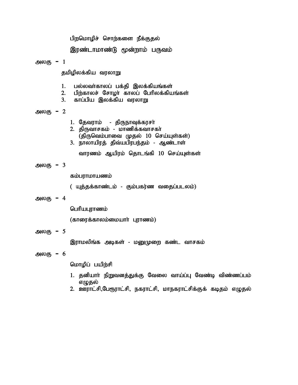|                 | பிறமொழிச் சொற்களை நீக்குதல்                                                                                                                   |
|-----------------|-----------------------------------------------------------------------------------------------------------------------------------------------|
|                 | இரண்டாமாண்டு மூன்றாம் பருவம்                                                                                                                  |
| அலகு $-1$       |                                                                                                                                               |
|                 | தமிழிலக்கிய வரலாறு                                                                                                                            |
| 1.<br>2.        | பல்லவா்காலப் பக்தி இலக்கியங்கள்<br>பிற்காலச் சோழா் காலப் பேரிலக்கியங்கள்<br>3. காப்பிய இலக்கிய வரலாறு                                         |
| அலகு $-2$       |                                                                                                                                               |
|                 | 1. தேவராம் - திருநாவுக்கரசா்<br>2. திருவாசகம் - மாணிக்கவாசகா்<br>(திருவெம்பாவை முதல் 10 செய்யுள்கள்)<br>3. நாலாயிரத் திவ்யபிரபந்தம் - ஆண்டாள் |
|                 | வாரணம் ஆயிரம் தொடங்கி 10 செய்யுள்கள்                                                                                                          |
| அலகு $-3$       |                                                                                                                                               |
|                 | கம்பராமாயணம்                                                                                                                                  |
|                 | ( யுத்தக்காண்டம் - கும்பகர்ண வதைப்படலம்)                                                                                                      |
| அலகு <i>–</i> 4 |                                                                                                                                               |
|                 | பெரியபுராணம்                                                                                                                                  |
|                 | (காரைக்காலம்மையார் புராணம்)                                                                                                                   |
|                 |                                                                                                                                               |
| அலகு $-5$       |                                                                                                                                               |
|                 | இராமலிங்க அடிகள் - மனுமுறை கண்ட வாசகம்                                                                                                        |
| அலகு $-6$       |                                                                                                                                               |
|                 | மொழிப் பயிற்சி                                                                                                                                |
|                 | 1. தனியாா் நிறுவனத்துக்கு வேலை வாய்ப்பு வேண்டி விண்ணப்பம்<br>எழுதல்                                                                           |

2. ஊராட்சி,பேரூராட்சி, நகராட்சி, மாநகராட்சிக்குக் கடிதம் எழுதல்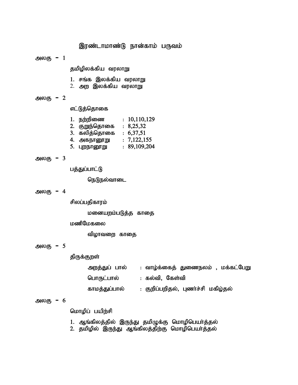**இரண்டாமாண்டு நான்காம் பருவம்**  $\frac{1}{200}$ தமிழிலக்கிய வரலாறு 1. சங்க இலக்கிய வரலாறு 2. அற இலக்கிய வரலா<u>று</u> **myF – 2** எட்டுத்தொகை  $1.$  **நற்றிணை : 10,110,129 2. FWe;njhif : 8>25>32 3. fypj;njhif : 6>37>51 4. mfehD}W : 7>122>155** 5. புறநானூறு : 89,109,204  $\frac{1}{20}$ **பத்துப்பாட்டு நெடுநல்வாடை myF – 4** சிலப்பதிகாரம் **மனையறம்படுத்த காதை மணிமேகலை** விழாவறை காதை

#### **myF – 5**

திருக்குறள்

| அறத்துப் பால் | : வாழ்க்கைத் துணைநலம் , மக்கட்பேறு |
|---------------|------------------------------------|
| பொருட்பால்    | : கல்வி, கேள்வி                    |
| காமத்துப்பால் | : குறிப்பறிதல், புணா்ச்சி மகிழ்தல் |

#### **myF – 6**

மொழிப் பயிற்சி

- 1. ஆங்கிலத்தில் இருந்து தமிழுக்கு மொழிபெயர்த்தல்
- 2. தமிழில் இருந்து ஆங்கிலத்திற்கு மொழிபெயர்த்தல்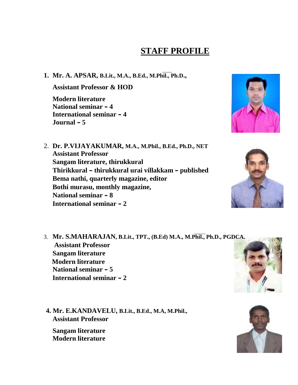## **STAFF PROFILE**

**1. Mr. A. APSAR, B.Lit., M.A., B.Ed., M.Phil., Ph.D.,**

**Assistant Professor & HOD**

**Modern literature National seminar – 4 International seminar – 4 Journal – 5**



2. **Dr. P.VIJAYAKUMAR, M.A., M.Phil., B.Ed., Ph.D., NET Assistant Professor Sangam literature, thirukkural Thirikkural – thirukkural urai villakkam – published Bema nathi, quarterly magazine, editor Bothi murasu, monthly magazine, National seminar – 8 International seminar – 2**



- 3. **Mr. S.MAHARAJAN, B.Lit., TPT., (B.Ed) M.A., M.Phil., Ph.D., PGDCA. Assistant Professor Sangam literature Modern literature National seminar – 5 International seminar – 2**
- **4. Mr. E.KANDAVELU, B.Lit., B.Ed., M.A, M.Phil., Assistant Professor**

**Sangam literature Modern literature**



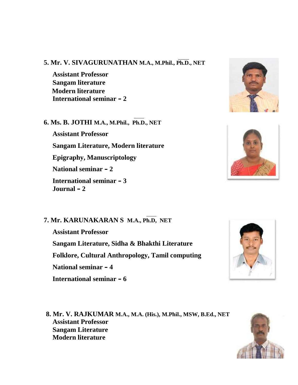#### **5. Mr. V. SIVAGURUNATHAN M.A., M.Phil., Ph.D., NET**

**Assistant Professor Sangam literature Modern literature International seminar – 2**

**6. Ms. B. JOTHI M.A., M.Phil., Ph.D., NET**

**Assistant Professor Sangam Literature, Modern literature Epigraphy, Manuscriptology National seminar – 2 International seminar – 3 Journal – 2**



### **7. Mr. KARUNAKARAN S M.A.,Ph.D, NET**

**Assistant Professor Sangam Literature, Sidha & Bhakthi Literature Folklore, Cultural Anthropology, Tamil computing National seminar – 4 International seminar – 6**



**8. Mr. V. RAJKUMAR M.A., M.A. (His.), M.Phil., MSW, B.Ed., NET Assistant Professor Sangam Literature Modern literature**